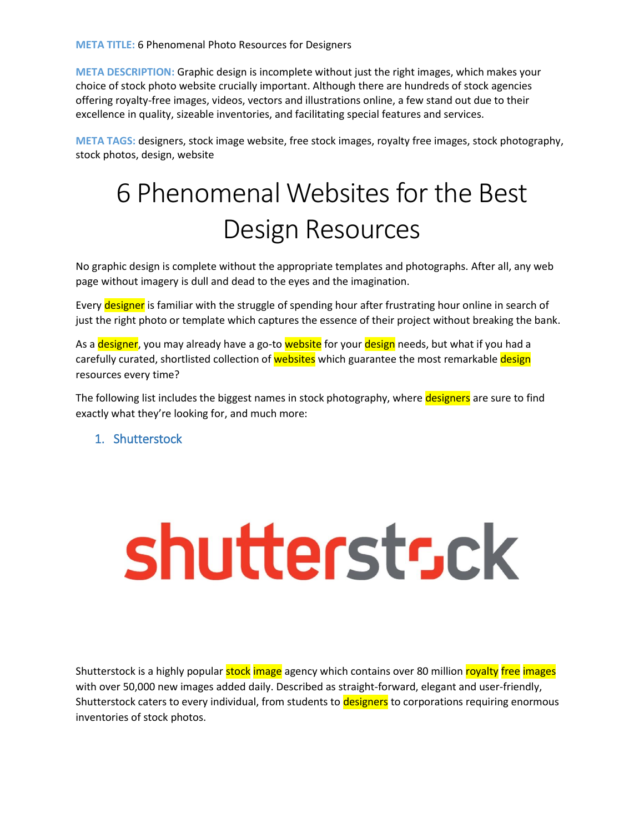**META DESCRIPTION:** Graphic design is incomplete without just the right images, which makes your choice of stock photo website crucially important. Although there are hundreds of stock agencies offering royalty-free images, videos, vectors and illustrations online, a few stand out due to their excellence in quality, sizeable inventories, and facilitating special features and services.

**META TAGS:** designers, stock image website, free stock images, royalty free images, stock photography, stock photos, design, website

### 6 Phenomenal Websites for the Best Design Resources

No graphic design is complete without the appropriate templates and photographs. After all, any web page without imagery is dull and dead to the eyes and the imagination.

Every designer is familiar with the struggle of spending hour after frustrating hour online in search of just the right photo or template which captures the essence of their project without breaking the bank.

As a designer, you may already have a go-to website for your design needs, but what if you had a carefully curated, shortlisted collection of websites which guarantee the most remarkable design resources every time?

The following list includes the biggest names in stock photography, where designers are sure to find exactly what they're looking for, and much more:

#### 1. Shutterstock

### shutterstr.ck

Shutterstock is a highly popular stock image agency which contains over 80 million royalty free images with over 50,000 new images added daily. Described as straight-forward, elegant and user-friendly, Shutterstock caters to every individual, from students to designers to corporations requiring enormous inventories of stock photos.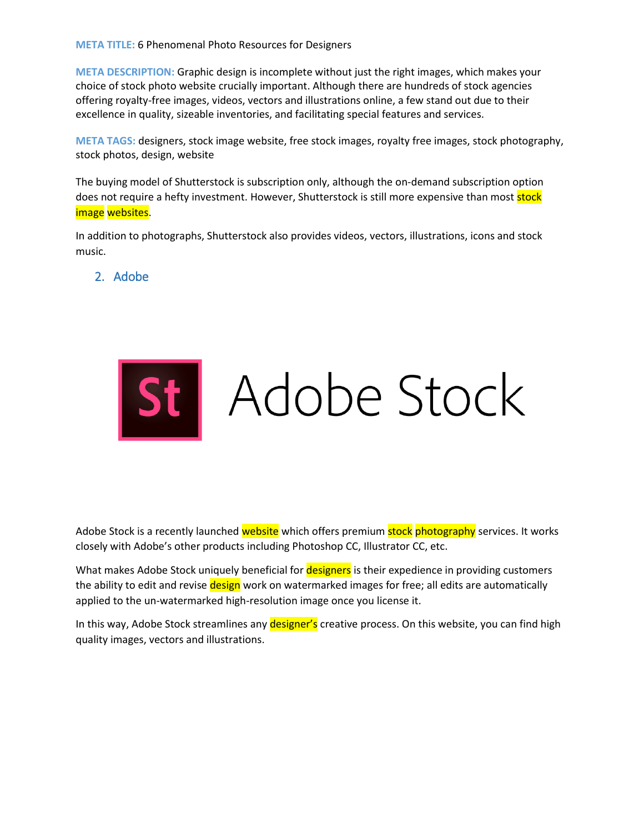#### **META TITLE:** 6 Phenomenal Photo Resources for Designers

**META DESCRIPTION:** Graphic design is incomplete without just the right images, which makes your choice of stock photo website crucially important. Although there are hundreds of stock agencies offering royalty-free images, videos, vectors and illustrations online, a few stand out due to their excellence in quality, sizeable inventories, and facilitating special features and services.

**META TAGS:** designers, stock image website, free stock images, royalty free images, stock photography, stock photos, design, website

The buying model of Shutterstock is subscription only, although the on-demand subscription option does not require a hefty investment. However, Shutterstock is still more expensive than most stock image websites.

In addition to photographs, Shutterstock also provides videos, vectors, illustrations, icons and stock music.

2. Adobe



Adobe Stock is a recently launched website which offers premium stock photography services. It works closely with Adobe's other products including Photoshop CC, Illustrator CC, etc.

What makes Adobe Stock uniquely beneficial for designers is their expedience in providing customers the ability to edit and revise design work on watermarked images for free; all edits are automatically applied to the un-watermarked high-resolution image once you license it.

In this way, Adobe Stock streamlines any designer's creative process. On this website, you can find high quality images, vectors and illustrations.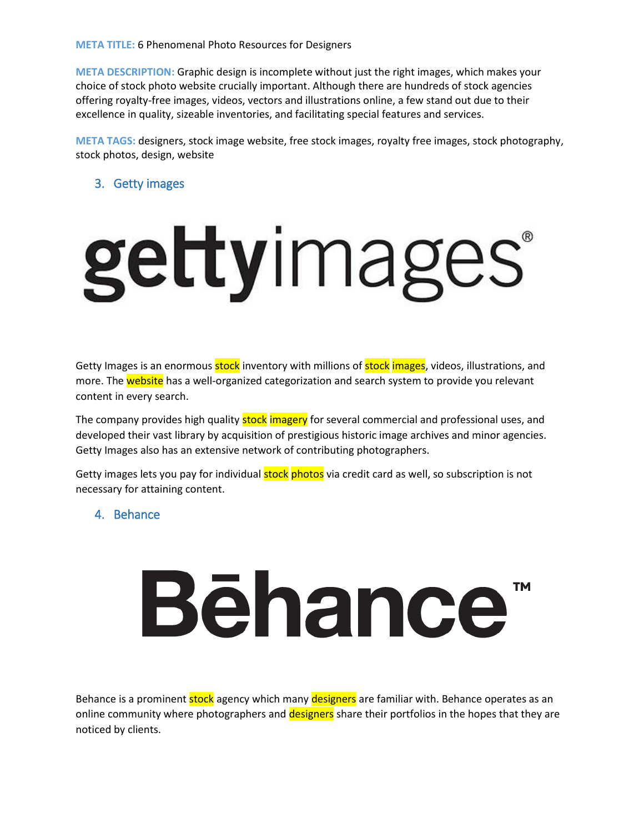**META DESCRIPTION:** Graphic design is incomplete without just the right images, which makes your choice of stock photo website crucially important. Although there are hundreds of stock agencies offering royalty-free images, videos, vectors and illustrations online, a few stand out due to their excellence in quality, sizeable inventories, and facilitating special features and services.

**META TAGS:** designers, stock image website, free stock images, royalty free images, stock photography, stock photos, design, website

#### 3. Getty images

# gettyimages®

Getty Images is an enormous stock inventory with millions of stock images, videos, illustrations, and more. The website has a well-organized categorization and search system to provide you relevant content in every search.

The company provides high quality stock imagery for several commercial and professional uses, and developed their vast library by acquisition of prestigious historic image archives and minor agencies. Getty Images also has an extensive network of contributing photographers.

Getty images lets you pay for individual **stock** photos via credit card as well, so subscription is not necessary for attaining content.

#### 4. Behance

## **Bēhance**

Behance is a prominent stock agency which many designers are familiar with. Behance operates as an online community where photographers and designers share their portfolios in the hopes that they are noticed by clients.